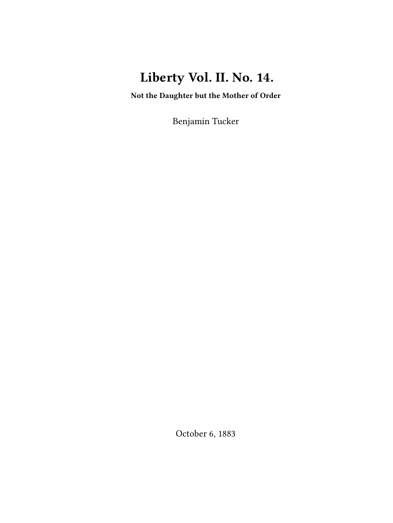# **Liberty Vol. II. No. 14.**

**Not the Daughter but the Mother of Order**

Benjamin Tucker

October 6, 1883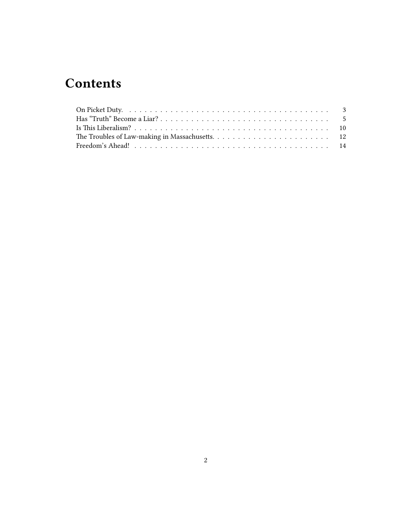# **Contents**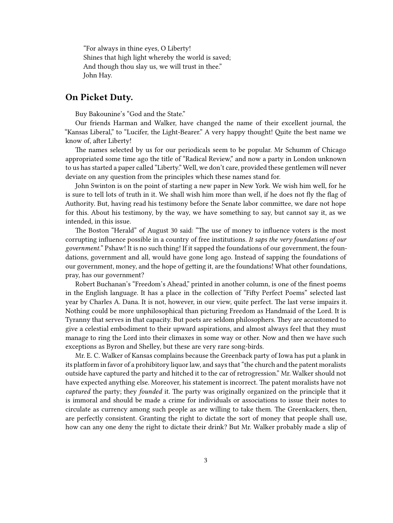"For always in thine eyes, O Liberty! Shines that high light whereby the world is saved; And though thou slay us, we will trust in thee." John Hay.

## <span id="page-2-0"></span>**On Picket Duty.**

Buy Bakounine's "God and the State."

Our friends Harman and Walker, have changed the name of their excellent journal, the "Kansas Liberal," to "Lucifer, the Light-Bearer." A very happy thought! Quite the best name we know of, after Liberty!

The names selected by us for our periodicals seem to be popular. Mr Schumm of Chicago appropriated some time ago the title of "Radical Review," and now a party in London unknown to us has started a paper called "Liberty." Well, we don't care, provided these gentlemen will never deviate on any question from the principles which these names stand for.

John Swinton is on the point of starting a new paper in New York. We wish him well, for he is sure to tell lots of truth in it. We shall wish him more than well, if he does not fly the flag of Authority. But, having read his testimony before the Senate labor committee, we dare not hope for this. About his testimony, by the way, we have something to say, but cannot say it, as we intended, in this issue.

The Boston "Herald" of August 30 said: "The use of money to influence voters is the most corrupting influence possible in a country of free institutions. *It saps the very foundations of our government.*" Pshaw! It is no such thing! If it sapped the foundations of our government, the foundations, government and all, would have gone long ago. Instead of sapping the foundations of our government, money, and the hope of getting it, are the foundations! What other foundations, pray, has our government?

Robert Buchanan's "Freedom's Ahead," printed in another column, is one of the finest poems in the English language. It has a place in the collection of "Fifty Perfect Poems" selected last year by Charles A. Dana. It is not, however, in our view, quite perfect. The last verse impairs it. Nothing could be more unphilosophical than picturing Freedom as Handmaid of the Lord. It is Tyranny that serves in that capacity. But poets are seldom philosophers. They are accustomed to give a celestial embodiment to their upward aspirations, and almost always feel that they must manage to ring the Lord into their climaxes in some way or other. Now and then we have such exceptions as Byron and Shelley, but these are very rare song-birds.

Mr. E. C. Walker of Kansas complains because the Greenback party of Iowa has put a plank in its platform in favor of a prohibitory liquor law, and says that "the church and the patent moralists outside have captured the party and hitched it to the car of retrogression." Mr. Walker should not have expected anything else. Moreover, his statement is incorrect. The patent moralists have not *captured* the party; they *founded* it. The party was originally organized on the principle that it is immoral and should be made a crime for individuals or associations to issue their notes to circulate as currency among such people as are willing to take them. The Greenkackers, then, are perfectly consistent. Granting the right to dictate the sort of money that people shall use, how can any one deny the right to dictate their drink? But Mr. Walker probably made a slip of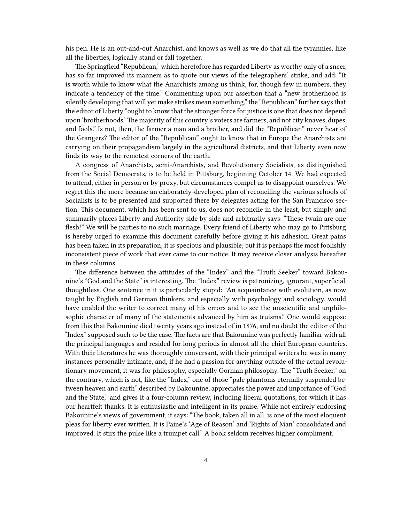his pen. He is an out-and-out Anarchist, and knows as well as we do that all the tyrannies, like all the liberties, logically stand or fall together.

The Springfield "Republican," which heretofore has regarded Liberty as worthy only of a sneer, has so far improved its manners as to quote our views of the telegraphers' strike, and add: "It is worth while to know what the Anarchists among us think, for, though few in numbers, they indicate a tendency of the time." Commenting upon our assertion that a "new brotherhood is silently developing that will yet make strikes mean something," the "Republican" further says that the editor of Liberty "ought to know that the stronger force for justice is one that does not depend upon 'brotherhoods.'The majority of this country's voters are farmers, and not city knaves, dupes, and fools." Is not, then, the farmer a man and a brother, and did the "Republican" never hear of the Grangers? The editor of the "Republican" ought to know that in Europe the Anarchists are carrying on their propagandism largely in the agricultural districts, and that Liberty even now finds its way to the remotest corners of the earth.

A congress of Anarchists, semi-Anarchists, and Revolutionary Socialists, as distinguished from the Social Democrats, is to be held in Pittsburg, beginning October 14. We had expected to attend, either in person or by proxy, but circumstances compel us to disappoint ourselves. We regret this the more because an elaborately-developed plan of reconciling the various schools of Socialists is to be presented and supported there by delegates acting for the San Francisco section. This document, which has been sent to us, does not reconcile in the least, but simply and summarily places Liberty and Authority side by side and arbitrarily says: "These twain are one flesh!" We will be parties to no such marriage. Every friend of Liberty who may go to Pittsburg is hereby urged to examine this document carefully before giving it his adhesion. Great pains has been taken in its preparation; it is specious and plausible; but it is perhaps the most foolishly inconsistent piece of work that ever came to our notice. It may receive closer analysis hereafter in these columns.

The difference between the attitudes of the "Index" and the "Truth Seeker" toward Bakounine's "God and the State" is interesting. The "Index" review is patronizing, ignorant, superficial, thoughtless. One sentence in it is particularly stupid: "An acquaintance with evolution, as now taught by English and German thinkers, and especially with psychology and sociology, would have enabled the writer to correct many of his errors and to see the unscientific and unphilosophic character of many of the statements advanced by him as truisms." One would suppose from this that Bakounine died twenty years ago instead of in 1876, and no doubt the editor of the "Index" supposed such to be the case. The facts are that Bakounine was perfectly familiar with all the principal languages and resided for long periods in almost all the chief European countries. With their literatures he was thoroughly conversant, with their principal writers he was in many instances personally intimate, and, if he had a passion for anything outside of the actual revolutionary movement, it was for philosophy, especially Gorman philosophy. The "Truth Seeker," on the contrary, which is not, like the "Index," one of those "pale phantoms eternally suspended between heaven and earth" described by Bakounine, appreciates the power and importance of "God and the State," and gives it a four-column review, including liberal quotations, for which it has our heartfelt thanks. It is enthusiastic and intelligent in its praise. While not entirely endorsing Bakounine's views of government, it says: "The book, taken all in all, is one of the most eloquent pleas for liberty ever written. It is Paine's 'Age of Reason' and 'Rights of Man' consolidated and improved. It stirs the pulse like a trumpet call." A book seldom receives higher compliment.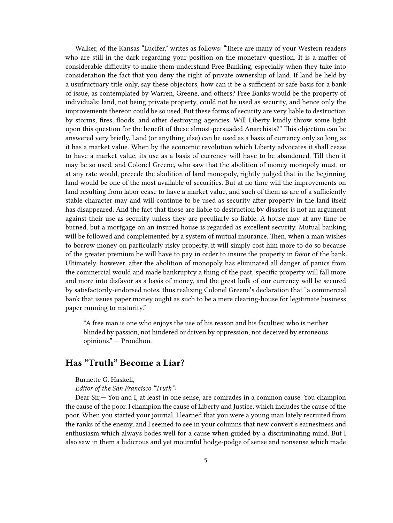Walker, of the Kansas "Lucifer," writes as follows: "There are many of your Western readers who are still in the dark regarding your position on the monetary question. It is a matter of considerable difficulty to make them understand Free Banking, especially when they take into consideration the fact that you deny the right of private ownership of land. If land be held by a usufructuary title only, say these objectors, how can it be a sufficient or safe basis for a bank of issue, as contemplated by Warren, Greene, and others? Free Banks would be the property of individuals; land, not being private property, could not be used as security, and hence only the improvements thereon could be so used. But these forms of security are very liable to destruction by storms, fires, floods, and other destroying agencies. Will Liberty kindly throw some light upon this question for the benefit of these almost-persuaded Anarchists?" This objection can be answered very briefly. Land (or anything else) can be used as a basis of currency only so long as it has a market value. When by the economic revolution which Liberty advocates it shall cease to have a market value, its use as a basis of currency will have to be abandoned. Till then it may be so used, and Colonel Greene, who saw that the abolition of money monopoly must, or at any rate would, precede the abolition of land monopoly, rightly judged that in the beginning land would be one of the most available of securities. But at no time will the improvements on land resulting from labor cease to have a market value, and such of them as are of a sufficiently stable character may and will continue to be used as security after property in the land itself has disappeared. And the fact that those are liable to destruction by disaster is not an argument against their use as security unless they are peculiarly so liable. A house may at any time be burned, but a mortgage on an insured house is regarded as excellent security. Mutual banking will be followed and complemented by a system of mutual insurance. Then, when a man wishes to borrow money on particularly risky property, it will simply cost him more to do so because of the greater premium he will have to pay in order to insure the property in favor of the bank. Ultimately, however, after the abolition of monopoly has eliminated all danger of panics from the commercial would and made bankruptcy a thing of the past, specific property will fall more and more into disfavor as a basis of money, and the great bulk of our currency will be secured by satisfactorily-endorsed notes, thus realizing Colonel Greene's declaration that "a commercial bank that issues paper money ought as such to be a mere clearing-house for legitimate business paper running to maturity."

"A free man is one who enjoys the use of his reason and his faculties; who is neither blinded by passion, not hindered or driven by oppression, not deceived by erroneous opinions." — Proudhon.

## <span id="page-4-0"></span>**Has "Truth" Become a Liar?**

Burnette G. Haskell,

#### *Editor of the San Francisco "Truth":*

Dear Sir,— You and I, at least in one sense, are comrades in a common cause. You champion the cause of the poor. I champion the cause of Liberty and Justice, which includes the cause of the poor. When you started your journal, I learned that you were a young man lately recruited from the ranks of the enemy, and I seemed to see in your columns that new convert's earnestness and enthusiasm which always bodes well for a cause when guided by a discriminating mind. But I also saw in them a ludicrous and yet mournful hodge-podge of sense and nonsense which made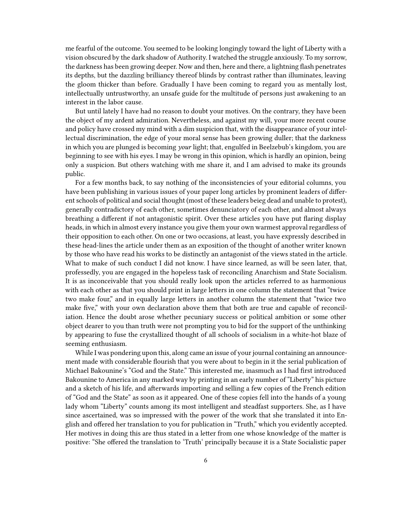me fearful of the outcome. You seemed to be looking longingly toward the light of Liberty with a vision obscured by the dark shadow of Authority. I watched the struggle anxiously. To my sorrow, the darkness has been growing deeper. Now and then, here and there, a lightning flash penetrates its depths, but the dazzling brilliancy thereof blinds by contrast rather than illuminates, leaving the gloom thicker than before. Gradually I have been coming to regard you as mentally lost, intellectually untrustworthy, an unsafe guide for the multitude of persons just awakening to an interest in the labor cause.

But until lately I have had no reason to doubt your motives. On the contrary, they have been the object of my ardent admiration. Nevertheless, and against my will, your more recent course and policy have crossed my mind with a dim suspicion that, with the disappearance of your intellectual discrimination, the edge of your moral sense has been growing duller; that the darkness in which you are plunged is becoming *your* light; that, engulfed in Beelzebub's kingdom, you are beginning to see with his eyes. I may be wrong in this opinion, which is hardly an opinion, being only a suspicion. But others watching with me share it, and I am advised to make its grounds public.

For a few months back, to say nothing of the inconsistencies of your editorial columns, you have been publishing in various issues of your paper long articles by prominent leaders of different schools of political and social thought (most of these leaders beieg dead and unable to protest), generally contradictory of each other, sometimes denunciatory of each other, and almost always breathing a different if not antagonistic spirit. Over these articles you have put flaring display heads, in which in almost every instance you give them your own warmest approval regardless of their opposition to each other. On one or two occasions, at least, you have expressly described in these head-lines the article under them as an exposition of the thought of another writer known by those who have read his works to be distinctly an antagonist of the views stated in the article. What to make of such conduct I did not know. I have since learned, as will be seen later, that, professedly, you are engaged in the hopeless task of reconciling Anarchism and State Socialism. It is as inconceivable that you should really look upon the articles referred to as harmonious with each other as that you should print in large letters in one column the statement that "twice two make four," and in equally large letters in another column the statement that "twice two make five," with your own declaration above them that both are true and capable of reconciliation. Hence the doubt arose whether pecuniary success or political ambition or some other object dearer to you than truth were not prompting you to bid for the support of the unthinking by appearing to fuse the crystallized thought of all schools of socialism in a white-hot blaze of seeming enthusiasm.

While I was pondering upon this, along came an issue of your journal containing an announcement made with considerable flourish that you were about to begin in it the serial publication of Michael Bakounine's "God and the State." This interested me, inasmuch as I had first introduced Bakounine to America in any marked way by printing in an early number of "Liberty" his picture and a sketch of his life, and afterwards importing and selling a few copies of the French edition of "God and the State" as soon as it appeared. One of these copies fell into the hands of a young lady whom "Liberty" counts among its most intelligent and steadfast supporters. She, as I have since ascertained, was so impressed with the power of the work that she translated it into English and offered her translation to you for publication in "Truth," which you evidently accepted. Her motives in doing this are thus stated in a letter from one whose knowledge of the matter is positive: "She offered the translation to 'Truth' principally because it is a State Socialistic paper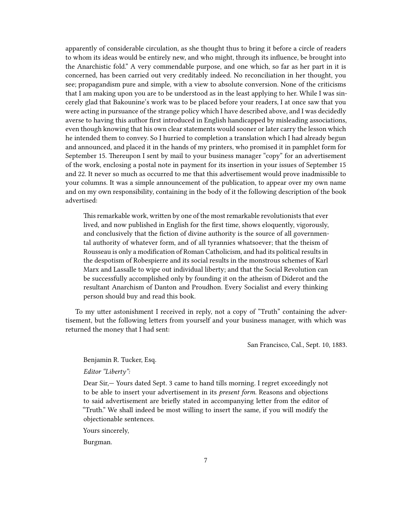apparently of considerable circulation, as she thought thus to bring it before a circle of readers to whom its ideas would be entirely new, and who might, through its influence, be brought into the Anarchistic fold." A very commendable purpose, and one which, so far as her part in it is concerned, has been carried out very creditably indeed. No reconciliation in her thought, you see; propagandism pure and simple, with a view to absolute conversion. None of the criticisms that I am making upon you are to be understood as in the least applying to her. While I was sincerely glad that Bakounine's work was to be placed before your readers, I at once saw that you were acting in pursuance of the strange policy which I have described above, and I was decidedly averse to having this author first introduced in English handicapped by misleading associations, even though knowing that his own clear statements would sooner or later carry the lesson which he intended them to convey. So I hurried to completion a translation which I had already begun and announced, and placed it in the hands of my printers, who promised it in pamphlet form for September 15. Thereupon I sent by mail to your business manager "copy" for an advertisement of the work, enclosing a postal note in payment for its insertion in your issues of September 15 and 22. It never so much as occurred to me that this advertisement would prove inadmissible to your columns. It was a simple announcement of the publication, to appear over my own name and on my own responsibility, containing in the body of it the following description of the book advertised:

This remarkable work, written by one of the most remarkable revolutionists that ever lived, and now published in English for the first time, shows eloquently, vigorously, and conclusively that the fiction of divine authority is the source of all governmental authority of whatever form, and of all tyrannies whatsoever; that the theism of Rousseau is only a modification of Roman Catholicism, and had its political results in the despotism of Robespierre and its social results in the monstrous schemes of Karl Marx and Lassalle to wipe out individual liberty; and that the Social Revolution can be successfully accomplished only by founding it on the atheism of Diderot and the resultant Anarchism of Danton and Proudhon. Every Socialist and every thinking person should buy and read this book.

To my utter astonishment I received in reply, not a copy of "Truth" containing the advertisement, but the following letters from yourself and your business manager, with which was returned the money that I had sent:

San Francisco, Cal., Sept. 10, 1883.

#### Benjamin R. Tucker, Esq.

*Editor "Liberty":*

Dear Sir,— Yours dated Sept. 3 came to hand tills morning. I regret exceedingly not to be able to insert your advertisement in its *present form*. Reasons and objections to said advertisement are briefly stated in accompanying letter from the editor of "Truth." We shall indeed be most willing to insert the same, if you will modify the objectionable sentences.

Yours sincerely,

Burgman.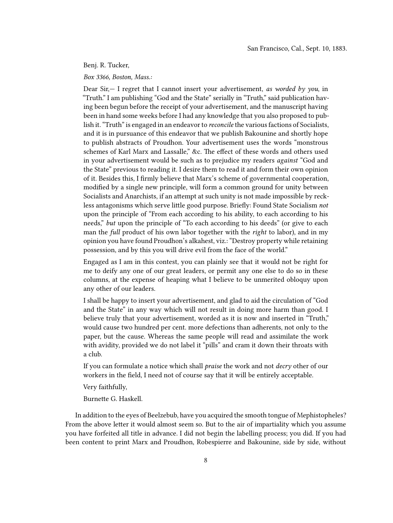Benj. R. Tucker,

*Box 3366, Boston, Mass.:*

Dear Sir,— I regret that I cannot insert your advertisement, *as worded by you*, in "Truth." I am publishing "God and the State" serially in "Truth," said publication having been begun before the receipt of your advertisement, and the manuscript having been in hand some weeks before I had any knowledge that you also proposed to publish it. "Truth" is engaged in an endeavor to *reconcile* the various factions of Socialists, and it is in pursuance of this endeavor that we publish Bakounine and shortly hope to publish abstracts of Proudhon. Your advertisement uses the words "monstrous schemes of Karl Marx and Lassalle," &c. The effect of these words and others used in your advertisement would be such as to prejudice my readers *against* "God and the State" previous to reading it. I desire them to read it and form their own opinion of it. Besides this, I firmly believe that Marx's scheme of governmental cooperation, modified by a single new principle, will form a common ground for unity between Socialists and Anarchists, if an attempt at such unity is not made impossible by reckless antagonisms which serve little good purpose. Briefly: Found State Socialism *not* upon the principle of "From each according to his ability, to each according to his needs," *but* upon the principle of "To each according to his deeds" (or give to each man the *full* product of his own labor together with the *right* to labor), and in my opinion you have found Proudhon's alkahest, viz.: "Destroy property while retaining possession, and by this you will drive evil from the face of the world."

Engaged as I am in this contest, you can plainly see that it would not be right for me to deify any one of our great leaders, or permit any one else to do so in these columns, at the expense of heaping what I believe to be unmerited obloquy upon any other of our leaders.

I shall be happy to insert your advertisement, and glad to aid the circulation of "God and the State" in any way which will not result in doing more harm than good. I believe truly that your advertisement, worded as it is now and inserted in "Truth," would cause two hundred per cent. more defections than adherents, not only to the paper, but the cause. Whereas the same people will read and assimilate the work with avidity, provided we do not label it "pills" and cram it down their throats with a club.

If you can formulate a notice which shall *praise* the work and not *decry* other of our workers in the field, I need not of course say that it will be entirely acceptable.

Very faithfully,

Burnette G. Haskell.

In addition to the eyes of Beelzebub, have you acquired the smooth tongue of Mephistopheles? From the above letter it would almost seem so. But to the air of impartiality which you assume you have forfeited all title in advance. I did not begin the labelling process; you did. If you had been content to print Marx and Proudhon, Robespierre and Bakounine, side by side, without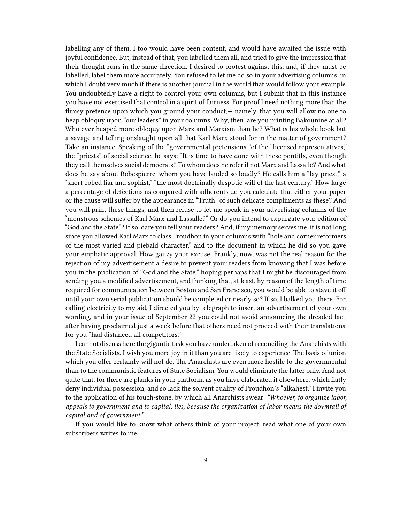labelling any of them, I too would have been content, and would have awaited the issue with joyful confidence. But, instead of that, you labelled them all, and tried to give the impression that their thought runs in the same direction. I desired to protest against this, and, if they must be labelled, label them more accurately. You refused to let me do so in your advertising columns, in which I doubt very much if there is another journal in the world that would follow your example. You undoubtedly have a right to control your own columns, but I submit that in this instance you have not exercised that control in a spirit of fairness. For proof I need nothing more than the flimsy pretence upon which you ground your conduct,— namely, that you will allow no one to heap obloquy upon "our leaders" in your columns. Why, then, are you printing Bakounine at all? Who ever heaped more obloquy upon Marx and Marxism than he? What is his whole book but a savage and telling onslaught upon all that Karl Marx stood for in the matter of government? Take an instance. Speaking of the "governmental pretensions "of the "licensed representatives," the "priests" of social science, he says: "It is time to have done with these pontiffs, even though they call themselves social democrats." To whom does he refer if not Marx and Lassalle? And what does he say about Robespierre, whom you have lauded so loudly? He calls him a "lay priest," a "short-robed liar and sophist," "the most doctrinally despotic will of the last century." How large a percentage of defections as compared with adherents do you calculate that either your paper or the cause will suffer by the appearance in "Truth" of such delicate compliments as these? And you will print these things, and then refuse to let me speak in your advertising columns of the "monstrous schemes of Karl Marx and Lassalle?" Or do you intend to expurgate your edition of "God and the State"? If so, dare you tell your readers? And, if my memory serves me, it is not long since you allowed Karl Marx to class Proudhon in your columns with "hole and corner reformers of the most varied and piebald character," and to the document in which he did so you gave your emphatic approval. How gauzy your excuse! Frankly, now, was not the real reason for the rejection of my advertisement a desire to prevent your readers from knowing that I was before you in the publication of "God and the State," hoping perhaps that I might be discouraged from sending you a modified advertisement, and thinking that, at least, by reason of the length of time required for communication between Boston and San Francisco, you would be able to stave it off until your own serial publication should be completed or nearly so? If so, I balked you there. For, calling electricity to my aid, I directed you by telegraph to insert an advertisement of your own wording, and in your issue of September 22 you could not avoid announcing the dreaded fact, after having proclaimed just a week before that others need not proceed with their translations, for you "had distanced all competitors."

I cannot discuss here the gigantic task you have undertaken of reconciling the Anarchists with the State Socialists. I wish you more joy in it than you are likely to experience. The basis of union which you offer certainly will not do. The Anarchists are even more hostile to the governmental than to the communistic features of State Socialism. You would eliminate the latter only. And not quite that, for there are planks in your platform, as you have elaborated it elsewhere, which flatly deny individual possession, and so lack the solvent quality of Proudhon's "alkahest." I invite you to the application of his touch-stone, by which all Anarchists swear: *"Whoever, to organize labor, appeals to government and to capital, lies, because the organization of labor means the downfall of capital and of government."*

If you would like to know what others think of your project, read what one of your own subscribers writes to me: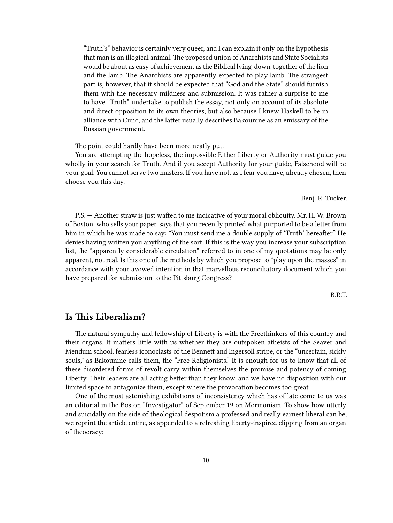"Truth's" behavior is certainly very queer, and I can explain it only on the hypothesis that man is an illogical animal. The proposed union of Anarchists and State Socialists would be about as easy of achievement as the Biblical lying-down-together of the lion and the lamb. The Anarchists are apparently expected to play lamb. The strangest part is, however, that it should be expected that "God and the State" should furnish them with the necessary mildness and submission. It was rather a surprise to me to have "Truth" undertake to publish the essay, not only on account of its absolute and direct opposition to its own theories, but also because I knew Haskell to be in alliance with Cuno, and the latter usually describes Bakounine as an emissary of the Russian government.

The point could hardly have been more neatly put.

You are attempting the hopeless, the impossible Either Liberty or Authority must guide you wholly in your search for Truth. And if you accept Authority for your guide, Falsehood will be your goal. You cannot serve two masters. If you have not, as I fear you have, already chosen, then choose you this day.

Benj. R. Tucker.

P.S. — Another straw is just wafted to me indicative of your moral obliquity. Mr. H. W. Brown of Boston, who sells your paper, says that you recently printed what purported to be a letter from him in which he was made to say: "You must send me a double supply of 'Truth' hereafter." He denies having written you anything of the sort. If this is the way you increase your subscription list, the "apparently considerable circulation" referred to in one of my quotations may be only apparent, not real. Is this one of the methods by which you propose to "play upon the masses" in accordance with your avowed intention in that marvellous reconciliatory document which you have prepared for submission to the Pittsburg Congress?

B.R.T.

### <span id="page-9-0"></span>**Is This Liberalism?**

The natural sympathy and fellowship of Liberty is with the Freethinkers of this country and their organs. It matters little with us whether they are outspoken atheists of the Seaver and Mendum school, fearless iconoclasts of the Bennett and Ingersoll stripe, or the "uncertain, sickly souls," as Bakounine calls them, the "Free Religionists." It is enough for us to know that all of these disordered forms of revolt carry within themselves the promise and potency of coming Liberty. Their leaders are all acting better than they know, and we have no disposition with our limited space to antagonize them, except where the provocation becomes too great.

One of the most astonishing exhibitions of inconsistency which has of late come to us was an editorial in the Boston "Investigator" of September 19 on Mormonism. To show how utterly and suicidally on the side of theological despotism a professed and really earnest liberal can be, we reprint the article entire, as appended to a refreshing liberty-inspired clipping from an organ of theocracy: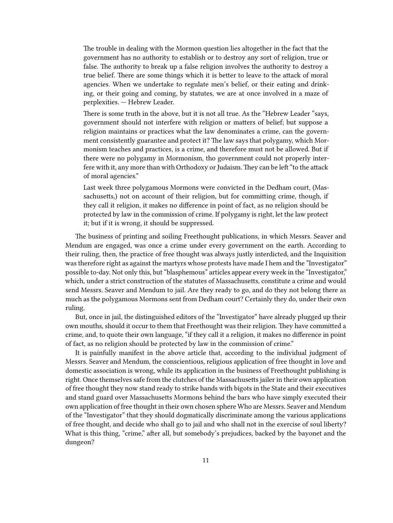The trouble in dealing with the Mormon question lies altogether in the fact that the government has no authority to establish or to destroy any sort of religion, true or false. The authority to break up a false religion involves the authority to destroy a true belief. There are some things which it is better to leave to the attack of moral agencies. When we undertake to regulate men's belief, or their eating and drinking, or their going and coming, by statutes, we are at once involved in a maze of perplexities. — Hebrew Leader.

There is some truth in the above, but it is not all true. As the "Hebrew Leader "says, government should not interfere with religion or matters of belief; but suppose a religion maintains or practices what the law denominates a crime, can the government consistently guarantee and protect it? The law says that polygamy, which Mormonism teaches and practices, is a crime, and therefore must not be allowed. But if there were no polygamy in Mormonism, tho government could not properly interfere with it, any more than with Orthodoxy or Judaism. They can be left "to the attack of moral agencies."

Last week three polygamous Mormons were convicted in the Dedham court, (Massachusetts,) not on account of their religion, but for committing crime, though, if they call it religion, it makes no difference in point of fact, as no religion should be protected by law in the commission of crime. If polygamy is right, let the law protect it; but if it is wrong, it should be suppressed.

The business of printing and soiling Freethought publications, in which Messrs. Seaver and Mendum are engaged, was once a crime under every government on the earth. According to their ruling, then, the practice of free thought was always justly interdicted, and the Inquisition was therefore right as against the martyrs whose protests have made I hem and the "Investigator" possible to-day. Not only this, but "blasphemous" articles appear every week in the "Investigator," which, under a strict construction of the statutes of Massachusetts, constitute a crime and would send Messrs. Seaver and Mendum to jail. Are they ready to go, and do they not belong there as much as the polygamous Mormons sent from Dedham court? Certainly they do, under their own ruling.

But, once in jail, the distinguished editors of the "Investigator" have already plugged up their own mouths, should it occur to them that Freethought was their religion. They have committed a crime, and, to quote their own language, "if they call it a religion, it makes no difference in point of fact, as no religion should be protected by law in the commission of crime."

It is painfully manifest in the above article that, according to the individual judgment of Messrs. Seaver and Mendum, the conscientious, religious application of free thought in love and domestic association is wrong, while its application in the business of Freethought publishing is right. Once themselves safe from the clutches of the Massachusetts jailer in their own application of free thought they now stand ready to strike hands with bigots in the State and their executives and stand guard over Massachusetts Mormons behind the bars who have simply executed their own application of free thought in their own chosen sphere Who are Messrs. Seaver and Mendum of the "Investigator" that they should dogmatically discriminate among the various applications of free thought, and decide who shall go to jail and who shall not in the exercise of soul liberty? What is this thing, "crime," after all, but somebody's prejudices, backed by the bayonet and the dungeon?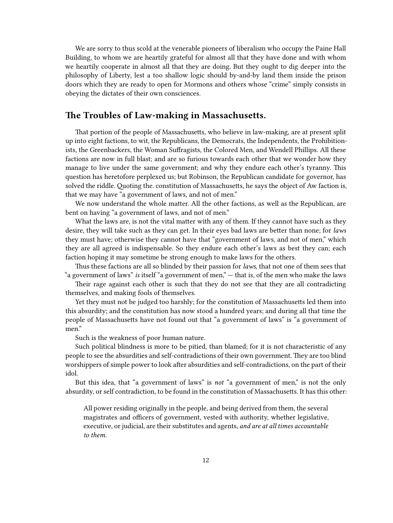We are sorry to thus scold at the venerable pioneers of liberalism who occupy the Paine Hall Building, to whom we are heartily grateful for almost all that they have done and with whom we heartily cooperate in almost all that they are doing. But they ought to dig deeper into the philosophy of Liberty, lest a too shallow logic should by-and-by land them inside the prison doors which they are ready to open for Mormons and others whose "crime" simply consists in obeying the dictates of their own consciences.

### <span id="page-11-0"></span>**The Troubles of Law-making in Massachusetts.**

That portion of the people of Massachusetts, who believe in law-making, are at present split up into eight factions, to wit, the Republicans, the Democrats, the Independents, the Prohibitionists, the Greenbackers, the Woman Suffragists, the Colored Men, and Wendell Phillips. All these factions are now in full blast; and are so furious towards each other that we wonder how they manage to live under the same government; and why they endure each other's tyranny. This question has heretofore perplexed us; but Robinson, the Republican candidate for governor, has solved the riddle. Quoting the. constitution of Massachusetts, he says the object of Aw faction is, that we may have "a government of laws, and not of men."

We now understand the whole matter. All the other factions, as well as the Republican, are bent on having "a government of laws, and not of men."

What the laws are, is not the vital matter with any of them. If they cannot have such as they desire, they will take such as they can get. In their eyes bad laws are better than none; for *laws* they must have; otherwise they cannot have that "government of laws, and not of men," which they are all agreed is indispensable. So they endure each other's laws as best they can; each faction hoping it may sometime be strong enough to make laws for the others.

Thus these factions are all so blinded by their passion for *laws*, that not one of them sees that "a government of laws" *is* itself "a government of men," — that is, of the men who make the laws

Their rage against each other is such that they do not see that they are all contradicting themselves, and making fools of themselves.

Yet they must not be judged too harshly; for the constitution of Massachusetts led them into this absurdity; and the constitution has now stood a hundred years; and during all that time the people of Massachusetts have not found out that "a government of laws" is "a government of men."

Such is the weakness of poor human nature.

Such political blindness is more to be pitied, than blamed; for it is not characteristic of any people to see the absurdities and self-contradictions of their own government. They are too blind worshippers of simple power to look after absurdities and self-contradictions, on the part of their idol.

But this idea, that "a government of laws" is *not* "a government of men," is not the only absurdity, or self contradiction, to be found in the constitution of Massachusetts. It has this other:

All power residing originally in the people, and being derived from them, the several magistrates and officers of government, vested with authority, whether legislative, executive, or judicial, are their substitutes and agents, *and are at all times accountable to them.*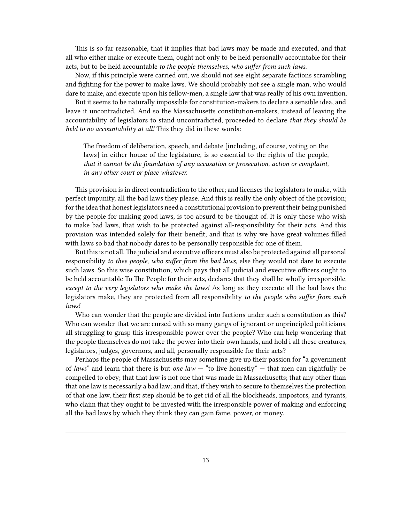This is so far reasonable, that it implies that bad laws may be made and executed, and that all who either make or execute them, ought not only to be held personally accountable for their acts, but to be held accountable *to the people themselves, who suffer from such laws.*

Now, if this principle were carried out, we should not see eight separate factions scrambling and fighting for the power to make laws. We should probably not see a single man, who would dare to make, and execute upon his fellow-men, a single law that was really of his own invention.

But it seems to be naturally impossible for constitution-makers to declare a sensible idea, and leave it uncontradicted. And so the Massachusetts constitution-makers, instead of leaving the accountability of legislators to stand uncontradicted, proceeded to declare *that they should be held to no accountability at all!* This they did in these words:

The freedom of deliberation, speech, and debate [including, of course, voting on the laws] in either house of the legislature, is so essential to the rights of the people, *that it cannot be the foundation of any accusation or prosecution, action or complaint, in any other court or place whatever.*

This provision is in direct contradiction to the other; and licenses the legislators to make, with perfect impunity, all the bad laws they please. And this is really the only object of the provision; for the idea that honest legislators need a constitutional provision to prevent their being punished by the people for making good laws, is too absurd to be thought of. It is only those who wish to make bad laws, that wish to be protected against all-responsibility for their acts. And this provision was intended solely for their benefit; and that is why we have great volumes filled with laws so bad that nobody dares to be personally responsible for one of them.

But this is not all.The judicial and executive officers must also be protected against all personal responsibility *to thee people, who suffer from the bad laws,* else they would not dare to execute such laws. So this wise constitution, which pays that all judicial and executive officers ought to be held accountable To The People for their acts, declares that they shall be wholly irresponsible, *except to the very legislators who make the laws!* As long as they execute all the bad laws the legislators make, they are protected from all responsibility *to the people who suffer from such laws!*

Who can wonder that the people are divided into factions under such a constitution as this? Who can wonder that we are cursed with so many gangs of ignorant or unprincipled politicians, all struggling to grasp this irresponsible power over the people? Who can help wondering that the people themselves do not take the power into their own hands, and hold i all these creatures, legislators, judges, governors, and all, personally responsible for their acts?

Perhaps the people of Massachusetts may sometime give up their passion for "a government of *laws*" and learn that there is but *one law* — "to live honestly" — that men can rightfully be compelled to obey; that that law is not one that was made in Massachusetts; that any other than that one law is necessarily a bad law; and that, if they wish to secure to themselves the protection of that one law, their first step should be to get rid of all the blockheads, impostors, and tyrants, who claim that they ought to be invested with the irresponsible power of making and enforcing all the bad laws by which they think they can gain fame, power, or money.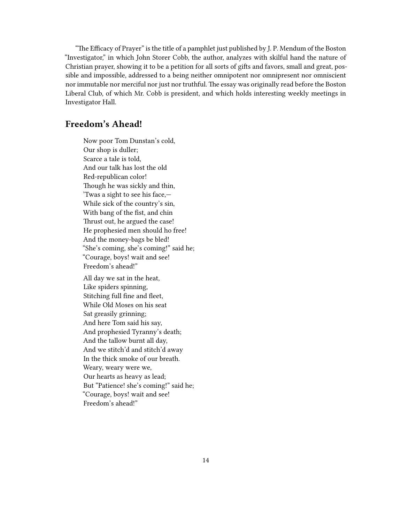"The Efficacy of Prayer" is the title of a pamphlet just published by J. P. Mendum of the Boston "Investigator," in which John Storer Cobb, the author, analyzes with skilful hand the nature of Christian prayer, showing it to be a petition for all sorts of gifts and favors, small and great, possible and impossible, addressed to a being neither omnipotent nor omnipresent nor omniscient nor immutable nor merciful nor just nor truthful. The essay was originally read before the Boston Liberal Club, of which Mr. Cobb is president, and which holds interesting weekly meetings in Investigator Hall.

## <span id="page-13-0"></span>**Freedom's Ahead!**

Now poor Tom Dunstan's cold, Our shop is duller; Scarce a tale is told, And our talk has lost the old Red-republican color! Though he was sickly and thin, 'Twas a sight to see his face,— While sick of the country's sin, With bang of the fist, and chin Thrust out, he argued the case! He prophesied men should ho free! And the money-bags be bled! "She's coming, she's coming!" said he; "Courage, boys! wait and see! Freedom's ahead!"

All day we sat in the heat, Like spiders spinning, Stitching full fine and fleet, While Old Moses on his seat Sat greasily grinning; And here Tom said his say, And prophesied Tyranny's death; And the tallow burnt all day, And we stitch'd and stitch'd away In the thick smoke of our breath. Weary, weary were we, Our hearts as heavy as lead; But "Patience! she's coming!" said he; "Courage, boys! wait and see! Freedom's ahead!"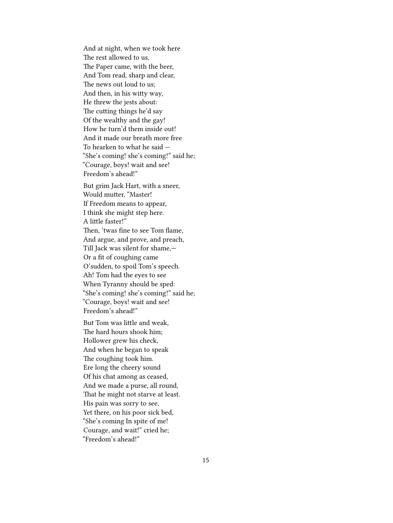And at night, when we took here The rest allowed to us, The Paper came, with the beer, And Tom read, sharp and clear, The news out loud to us; And then, in his witty way, He threw the jests about: The cutting things he'd say Of the wealthy and the gay! How he turn'd them inside out! And it made our breath more free To hearken to what he said — "She's coming! she's coming!" said he; "Courage, boys! wait and see! Freedom's ahead!"

But grim Jack Hart, with a sneer, Would mutter, "Master! If Freedom means to appear, I think she might step here. A little faster!" Then, 'twas fine to see Tom flame, And argue, and prove, and preach, Till Jack was silent for shame,— Or a fit of coughing came O'sudden, to spoil Tom's speech. Ah! Tom had the eyes to see When Tyranny should be sped: "She's coming! she's coming!" said he; "Courage, boys! wait and see! Freedom's ahead!"

But Tom was little and weak, The hard hours shook him; Hollower grew his check, And when he began to speak The coughing took him. Ere long the cheery sound Of his chat among as ceased, And we made a purse, all round, That he might not starve at least. His pain was sorry to see, Yet there, on his poor sick bed, "She's coming In spite of me! Courage, and wait!" cried he; "Freedom's ahead!"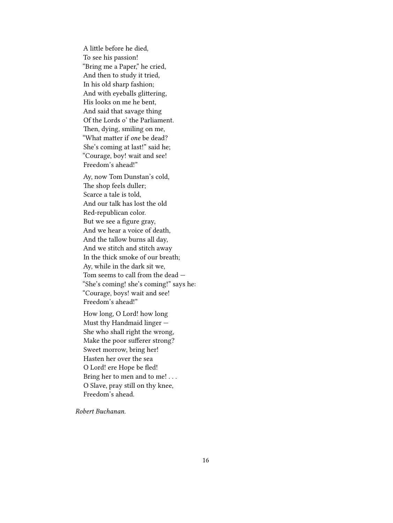A little before he died, To see his passion! "Bring me a Paper," he cried, And then to study it tried, In his old sharp fashion; And with eyeballs glittering, His looks on me he bent, And said that savage thing Of the Lords o' the Parliament. Then, dying, smiling on me, "What matter if *one* be dead? She's coming at last!" said he; "Courage, boy! wait and see! Freedom's ahead!"

Ay, now Tom Dunstan's cold, The shop feels duller; Scarce a tale is told, And our talk has lost the old Red-republican color. But we see a figure gray, And we hear a voice of death, And the tallow burns all day, And we stitch and stitch away In the thick smoke of our breath; Ay, while in the dark sit we, Tom seems to call from the dead — "She's coming! she's coming!" says he: "Courage, boys! wait and see! Freedom's ahead!"

How long, O Lord! how long Must thy Handmaid linger — She who shall right the wrong, Make the poor sufferer strong? Sweet morrow, bring her! Hasten her over the sea O Lord! ere Hope be fled! Bring her to men and to me! . . . O Slave, pray still on thy knee, Freedom's ahead.

*Robert Buchanan.*